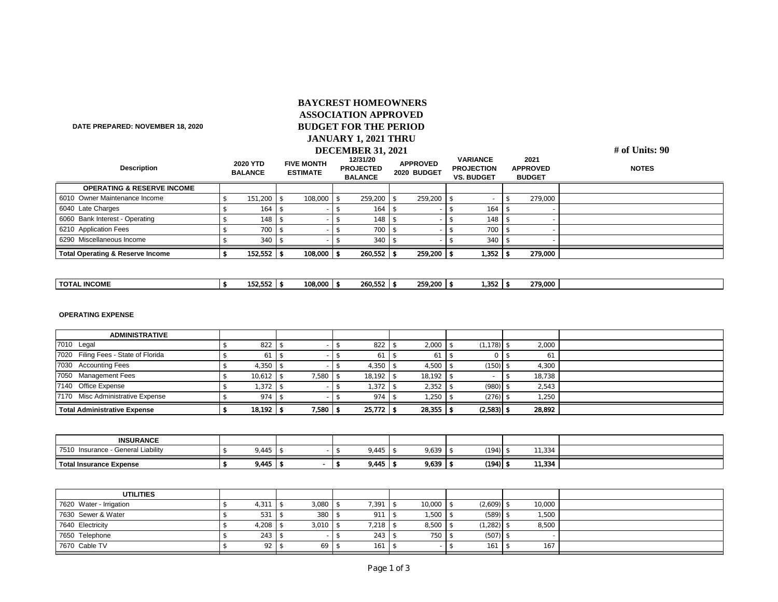## **# of Units: 90 2020 YTD BALANCE FIVE MONTH ESTIMATE 12/31/20 PROJECTED BALANCE APPROVED 2020 BUDGET VARIANCE PROJECTION VS. BUDGET 2021 APPROVED BUDGET NOTES**  6010 Owner Maintenance Income 6 151,200 \$ 151,200 \$ 108,000 \$ 259,200 \$ - \$ 279,000 6040 Late Charges 5 164 \$ 164 \$ 164 \$ 164 \$ 164 \$ 164 \$ **6060 Bank Interest - Operating**  5 148 \$ 148 \$ 148 \$ 148 \$ 148 \$ **6210 Application Fees 1** \$ 700 \$ 700 \$ 5 700 \$ 700 \$ 700 \$ 700 \$ 700 \$ 700 \$ 700 \$ 700 \$ 700 \$ 700 \$ 700 \$ 700 \$ 700 \$ 700 \$ 700 \$ 700 \$ 700 \$ 700 \$ 700 \$ 700 \$ 700 \$ 700 \$ 700 \$ 700 \$ 700 \$ 700 \$ 700 \$ 700 \$ 700 \$ 7 **6290 Miscellaneous Income**   $\begin{vmatrix} 1 & 3 & 3 & 3 & 5 \\ 5 & 3 & 3 & 5 \end{vmatrix}$  **5**  $\begin{vmatrix} 3 & 3 & 3 & 5 \\ 3 & 40 & 5 & 3 & 3 \end{vmatrix}$  5  $\begin{vmatrix} 3 & 3 & 3 & 3 & 3 \\ 5 & 3 & 40 & 5 & 3 & 3 \end{vmatrix}$  $\frac{1}{3}$  152,552  $\frac{1}{3}$  108,000  $\frac{1}{3}$  260,552  $\frac{1}{3}$  259,200  $\frac{1}{3}$  1,352  $\frac{1}{3}$  279,000  **BAYCREST HOMEOWNERS ASSOCIATION APPROVED BUDGET FOR THE PERIOD JANUARY 1, 2021 THRU DECEMBER 31, 2021 DATE PREPARED: NOVEMBER 18, 2020 Description Total Operating & Reserve Income OPERATING & RESERVE INCOME**

|--|

## **OPERATING EXPENSE**

| <b>ADMINISTRATIVE</b>               |               |       |               |        |              |        |  |
|-------------------------------------|---------------|-------|---------------|--------|--------------|--------|--|
| 7010 Legal                          | 822           |       | 822           | 2,000  | (1, 178)     | 2,000  |  |
| 7020 Filing Fees - State of Florida |               |       |               | 61     |              | 61     |  |
| 7030 Accounting Fees                | 4,350         |       | 4,350         | 4,500  | (150)        | 4,300  |  |
| 7050 Management Fees                | 10,612        | 7,580 | 18,192        | 18.192 |              | 18,738 |  |
| 7140 Office Expense                 | .372          |       | 1.372         | 2,352  | (980)        | 2,543  |  |
| 7170 Misc Administrative Expense    | 974           |       | 974           | 1.250  | (276)        | 1,250  |  |
| <b>Total Administrative Expense</b> | $18,192$   \$ | 7,580 | $25,772$   \$ | 28,355 | $(2,583)$ \$ | 28,892 |  |

| <b>INSURANCE</b>                                |                          |  |                       |           |             |                                                          |  |
|-------------------------------------------------|--------------------------|--|-----------------------|-----------|-------------|----------------------------------------------------------|--|
| 7510<br><b>General Liability</b><br>Insurance · | $A$ $A$ $\Gamma$<br>・44こ |  | $A A \Gamma$<br>445./ | .<br>,639 | (401)       | $\overline{a}$ $\overline{a}$ $\overline{a}$<br>- 334، ، |  |
|                                                 |                          |  |                       |           |             |                                                          |  |
| Total Insurance Expense                         | 9,445                    |  | 9,445                 | 9,639     | $(194)$   1 | 11,334                                                   |  |

| <b>UTILITIES</b>        |               |       |       |        |           |        |  |
|-------------------------|---------------|-------|-------|--------|-----------|--------|--|
| 7620 Water - Irrigation | $4,311$ $\pm$ | 3,080 | 1,391 | 10,000 | (2,609)   | 10,000 |  |
| 7630 Sewer & Water      | 531           | 380   | 911   | ,500   | $(589)$ : | .,500  |  |
| 7640 Electricity        | $4,208$ :     | 3,010 | .218  | 8,500  | (1, 282)  | 8,500  |  |
| 7650 Telephone          | 243           |       | 243   | 750    | (507)     |        |  |
| 7670 Cable TV           | 92            | 69    | 161   |        | 161       | 167    |  |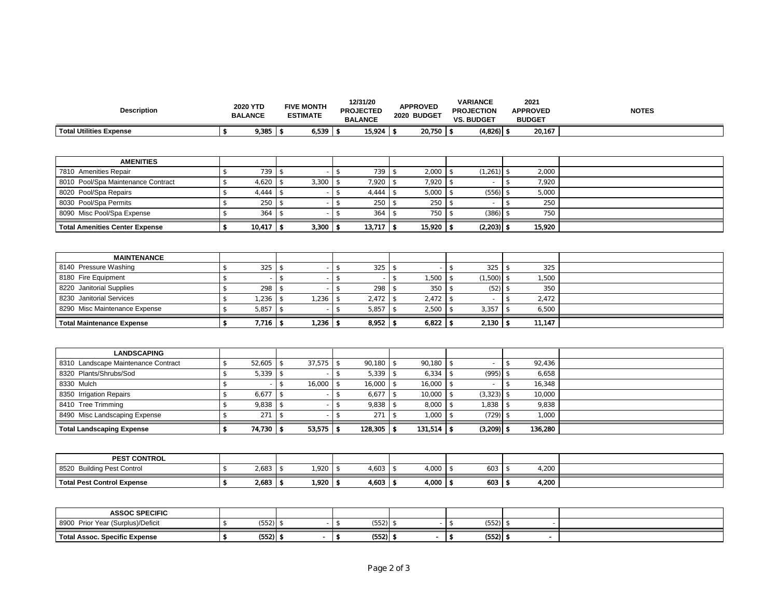| <b>Description</b>                    |                     | 2020 YTD<br><b>BALANCE</b> | <b>FIVE MONTH</b><br><b>ESTIMATE</b> |        |               | 12/31/20<br><b>PROJECTED</b><br><b>BALANCE</b> |                     | <b>APPROVED</b><br>2020 BUDGET |                | <b>VARIANCE</b><br><b>PROJECTION</b><br><b>VS. BUDGET</b> |                     | 2021<br><b>APPROVED</b><br><b>BUDGET</b> | <b>NOTES</b> |
|---------------------------------------|---------------------|----------------------------|--------------------------------------|--------|---------------|------------------------------------------------|---------------------|--------------------------------|----------------|-----------------------------------------------------------|---------------------|------------------------------------------|--------------|
| <b>Total Utilities Expense</b>        | \$                  | $9,385$ \ \$               |                                      | 6,539  | \$            | 15,924                                         | -\$                 | 20,750                         | \$             | $(4,826)$ \$                                              |                     | 20,167                                   |              |
|                                       |                     |                            |                                      |        |               |                                                |                     |                                |                |                                                           |                     |                                          |              |
| <b>AMENITIES</b>                      |                     |                            |                                      |        |               |                                                |                     |                                |                |                                                           |                     |                                          |              |
| 7810 Amenities Repair                 | $$\mathbb{S}$$      | 739                        | $\mathcal{L}$                        |        | $\mathbb{S}$  | 739                                            | \$                  | 2,000                          | $\mathbb{S}$   | (1, 261)                                                  | \$                  | 2,000                                    |              |
| 8010 Pool/Spa Maintenance Contract    | $\mathbb{S}$        | 4,620                      | $\mathcal{L}$                        | 3,300  | $\mathcal{L}$ | 7,920                                          |                     | 7,920                          | $\mathcal{S}$  |                                                           | $\mathcal{S}$       | 7,920                                    |              |
| 8020 Pool/Spa Repairs                 | $\mathcal{S}$       | 4,444                      | $\mathcal{L}$                        |        | $\mathbb{S}$  | 4,444                                          | $\hat{\mathcal{S}}$ | 5,000                          | $\mathbb{S}$   | (556)                                                     | $\mathbb{S}$        | 5,000                                    |              |
| 8030 Pool/Spa Permits                 | $\mathcal{L}$       | 250                        | $\mathcal{L}$                        |        | $\mathcal{S}$ | 250                                            |                     | 250                            | $\mathfrak{F}$ |                                                           | $\hat{\mathcal{S}}$ | 250                                      |              |
| 8090 Misc Pool/Spa Expense            | $\mathcal{S}$       | 364                        | $\mathcal{S}$                        |        | $\mathcal{L}$ | 364                                            | \$.                 | 750                            | $\mathcal{L}$  | (386)                                                     | \$                  | 750                                      |              |
| <b>Total Amenities Center Expense</b> | \$                  | 10,417                     | -\$                                  | 3,300  | \$            | 13,717                                         | $\mathbf{\hat{z}}$  | 15,920                         | \$             | $(2,203)$ \$                                              |                     | 15,920                                   |              |
| <b>MAINTENANCE</b>                    |                     |                            |                                      |        |               |                                                |                     |                                |                |                                                           |                     |                                          |              |
| 8140 Pressure Washing                 | \$                  | 325                        | $\mathcal{L}$                        |        | $\mathcal{S}$ | 325                                            | $$\mathbb{S}$$      |                                | $\mathbb{S}$   | 325                                                       | $\mathbb{S}$        | 325                                      |              |
| 8180 Fire Equipment                   | $\mathbb{S}$        |                            | $\mathcal{S}$                        |        | $\mathcal{S}$ |                                                | $\hat{\mathcal{L}}$ | 1,500                          | $\mathcal{S}$  | (1,500)                                                   | $\hat{\mathcal{S}}$ | 1,500                                    |              |
| 8220 Janitorial Supplies              | $\hat{\mathcal{S}}$ | 298                        | $\mathcal{S}$                        |        | $\mathcal{S}$ | 298                                            | \$                  | 350                            | $\mathcal{L}$  | (52)                                                      | $\mathcal{S}$       | 350                                      |              |
| 8230 Janitorial Services              | $\mathbb{S}$        | 1,236                      | $\mathcal{L}$                        | 1,236  | $\mathcal{L}$ | 2,472                                          | \$                  | 2,472                          | $\mathcal{L}$  |                                                           | $\mathbb{S}$        | 2,472                                    |              |
| 8290 Misc Maintenance Expense         | $\mathcal{S}$       | 5,857                      | $\mathbb{S}$                         |        | $\mathbb{S}$  | 5,857                                          | $\mathbb{S}$        | 2,500                          | $\mathfrak{F}$ | 3,357                                                     | $\mathbb{S}$        | 6,500                                    |              |
| <b>Total Maintenance Expense</b>      | \$                  | $7,716$   \$               |                                      | 1,236  | -\$           | 8,952                                          | \$                  | 6,822                          | \$             | 2,130                                                     | \$                  | 11,147                                   |              |
|                                       |                     |                            |                                      |        |               |                                                |                     |                                |                |                                                           |                     |                                          |              |
| <b>LANDSCAPING</b>                    |                     |                            |                                      |        |               |                                                |                     |                                |                |                                                           |                     |                                          |              |
| 8310 Landscape Maintenance Contract   | $\mathcal{S}$       | 52,605                     | $\mathcal{S}$                        | 37,575 | $\mathcal{S}$ | 90,180                                         | $\mathbb{S}$        | 90,180                         | $\mathbb{S}$   |                                                           | $\mathcal{S}$       | 92,436                                   |              |
| 8320 Plants/Shrubs/Sod                | $\hat{\mathcal{S}}$ | 5,339                      | $\mathcal{S}$                        |        |               | 5,339                                          | $\mathbb{S}$        | 6,334                          | $\mathcal{L}$  | (995)                                                     | $\mathcal{S}$       | 6,658                                    |              |
| 8330 Mulch                            | $\mathcal{L}$       |                            | $\mathcal{S}$                        | 16,000 | $\mathcal{S}$ | 16,000                                         | $\mathbb{S}$        | 16,000                         | $\mathbb{S}$   |                                                           | $\hat{\mathbf{S}}$  | 16,348                                   |              |
| 8350 Irrigation Repairs               | $\hat{S}$           | 6,677                      | $\mathbb{S}$                         |        | $\mathcal{S}$ | 6,677                                          | $$\mathbb{S}$$      | 10,000                         | $\mathcal{L}$  | (3, 323)                                                  | $$\mathbb{S}$$      | 10,000                                   |              |
| 8410 Tree Trimming                    | $\mathcal{S}$       | 9,838                      | \$                                   |        | $\mathcal{L}$ | 9,838                                          | \$                  | 8,000                          | $\mathfrak{F}$ | 1,838                                                     | \$                  | 9,838                                    |              |
| 8490 Misc Landscaping Expense         | $\mathbb{S}$        | 271                        | $\mathcal{S}$                        |        | $\mathcal{S}$ | 271                                            | $\hat{\mathcal{L}}$ | 1,000                          | $\mathcal{S}$  | (729)                                                     | $\mathcal{S}$       | 1,000                                    |              |
| <b>Total Landscaping Expense</b>      | \$                  | 74,730   \$                |                                      | 53,575 | $\sqrt{2}$    | 128,305                                        | Ŝ.                  | 131,514                        | $\sqrt{2}$     | $(3,209)$ \$                                              |                     | 136,280                                  |              |
|                                       |                     |                            |                                      |        |               |                                                |                     |                                |                |                                                           |                     |                                          |              |
| <b>PEST CONTROL</b>                   |                     |                            |                                      |        |               |                                                |                     |                                |                |                                                           |                     |                                          |              |
| 8520 Building Pest Control            | $$\mathbb{S}$$      | 2,683                      | $\mathcal{L}$                        | 1,920  | $\mathcal{L}$ | 4,603                                          | $$\mathbb{S}$$      | 4,000                          | $\mathcal{L}$  | 603                                                       | $$\mathbb{S}$$      | 4,200                                    |              |
| <b>Total Pest Control Expense</b>     | \$                  |                            |                                      | 1,920  | $\sqrt{2}$    | 4,603                                          | \$                  | 4,000                          | $\mathbf{f}$   | 603                                                       | \$                  | 4,200                                    |              |
|                                       |                     |                            |                                      |        |               |                                                |                     |                                |                |                                                           |                     |                                          |              |
| <b>ASSOC SPECIFIC</b>                 |                     |                            |                                      |        |               |                                                |                     |                                |                |                                                           |                     |                                          |              |
| 8900 Prior Year (Surplus)/Deficit     | $$\mathbb{S}$$      | $(552)$ \$                 |                                      |        | $\mathcal{L}$ | (552)                                          | $\mathbb{S}$        |                                | \$             | (552)                                                     | $\mathcal{S}$       |                                          |              |
| <b>Total Assoc. Specific Expense</b>  | s                   | $(552)$ \$                 |                                      | $\sim$ | $\sqrt{2}$    | $(552)$ \$                                     |                     | $\mathbf{r}$                   | $\mathbf{3}$   | $(552)$ \$                                                |                     | $\sim$                                   |              |